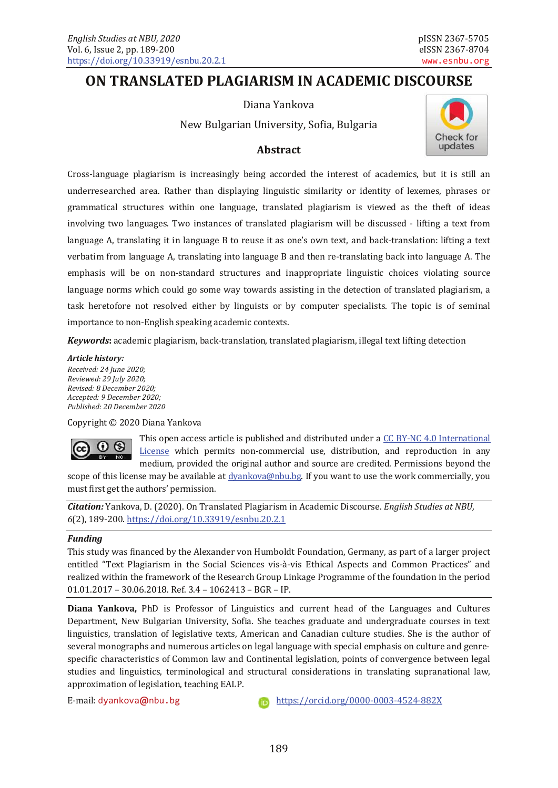# **ON TRANSLATED PLAGIARISM IN ACADEMIC DISCOURSE**

Diana Yankova

New Bulgarian University, Sofia, Bulgaria



## **Abstract**

Cross-language plagiarism is increasingly being accorded the interest of academics, but it is still an underresearched area. Rather than displaying linguistic similarity or identity of lexemes, phrases or grammatical structures within one language, translated plagiarism is viewed as the theft of ideas involving two languages. Two instances of translated plagiarism will be discussed - lifting a text from language A, translating it in language B to reuse it as one's own text, and back-translation: lifting a text verbatim from language A, translating into language B and then re-translating back into language A. The emphasis will be on non-standard structures and inappropriate linguistic choices violating source language norms which could go some way towards assisting in the detection of translated plagiarism, a task heretofore not resolved either by linguists or by computer specialists. The topic is of seminal importance to non-English speaking academic contexts.

*Keywords***:** academic plagiarism, back-translation, translated plagiarism, illegal text lifting detection

#### *Article history:*

*Received: 24 June 2020; Reviewed: 29 July 2020; Revised: 8 December 2020; Accepted: 9 December 2020; Published: 20 December 2020*

Copyright © 2020 Diana Yankova



This open access article is published and distributed under a [CC BY-NC 4.0 International](http://creativecommons.org/licenses/by-nc/4.0/)  [License](http://creativecommons.org/licenses/by-nc/4.0/) which permits non-commercial use, distribution, and reproduction in any medium, provided the original author and source are credited. Permissions beyond the

scope of this license may be available at  $\frac{dyankova@nbul.bg}{dyankova@nbul.bg}$ . If you want to use the work commercially, you must first get the authors' permission.

*Citation:* Yankova, D. (2020). On Translated Plagiarism in Academic Discourse. *English Studies at NBU, 6*(2), 189-200[. https://doi.org/10.33919/esnbu.20.2.1](https://doi.org/10.33919/esnbu.20.2.1)

#### *Funding*

This study was financed by the Alexander von Humboldt Foundation, Germany, as part of a larger project entitled "Text Plagiarism in the Social Sciences vis-à-vis Ethical Aspects and Common Practices" and realized within the framework of the Research Group Linkage Programme of the foundation in the period 01.01.2017 – 30.06.2018. Ref. 3.4 – 1062413 – BGR – IP.

**Diana Yankova,** PhD is Professor of Linguistics and current head of the Languages and Cultures Department, New Bulgarian University, Sofia. She teaches graduate and undergraduate courses in text linguistics, translation of legislative texts, American and Canadian culture studies. She is the author of several monographs and numerous articles on legal language with special emphasis on culture and genrespecific characteristics of Common law and Continental legislation, points of convergence between legal studies and linguistics, terminological and structural considerations in translating supranational law, approximation of legislation, teaching EALP.

E-mail: [dyankova](mailto:dyankova@nbu.bg)**@**nbu.bg <https://orcid.org/0000-0003-4524-882X>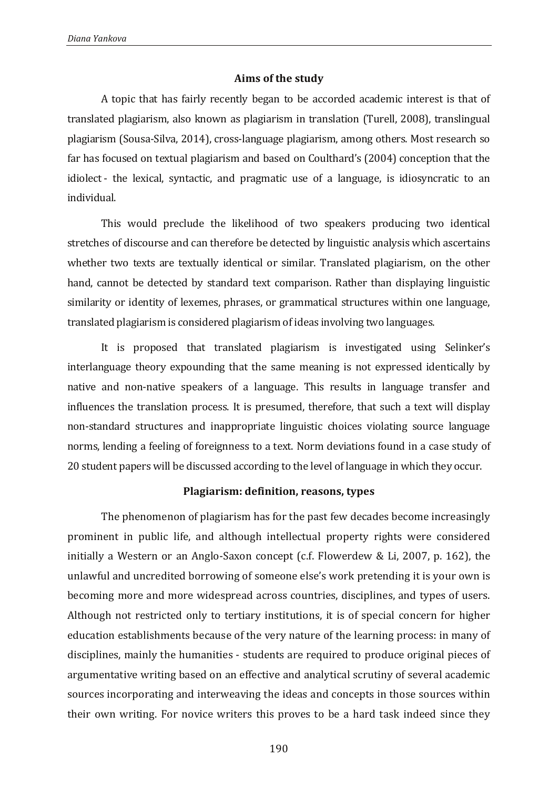#### **Aims of the study**

A topic that has fairly recently began to be accorded academic interest is that of translated plagiarism, also known as plagiarism in translation (Turell, 2008), translingual plagiarism (Sousa-Silva, 2014), cross-language plagiarism, among others. Most research so far has focused on textual plagiarism and based on Coulthard's (2004) conception that the idiolect - the lexical, syntactic, and pragmatic use of a language, is idiosyncratic to an individual.

This would preclude the likelihood of two speakers producing two identical stretches of discourse and can therefore be detected by linguistic analysis which ascertains whether two texts are textually identical or similar. Translated plagiarism, on the other hand, cannot be detected by standard text comparison. Rather than displaying linguistic similarity or identity of lexemes, phrases, or grammatical structures within one language, translated plagiarism is considered plagiarism of ideas involving two languages.

It is proposed that translated plagiarism is investigated using Selinker's interlanguage theory expounding that the same meaning is not expressed identically by native and non-native speakers of a language. This results in language transfer and influences the translation process. It is presumed, therefore, that such a text will display non-standard structures and inappropriate linguistic choices violating source language norms, lending a feeling of foreignness to a text. Norm deviations found in a case study of 20 student papers will be discussed according to the level of language in which they occur.

#### **Plagiarism: definition, reasons, types**

The phenomenon of plagiarism has for the past few decades become increasingly prominent in public life, and although intellectual property rights were considered initially a Western or an Anglo-Saxon concept (c.f. Flowerdew & Li, 2007, p. 162), the unlawful and uncredited borrowing of someone else's work pretending it is your own is becoming more and more widespread across countries, disciplines, and types of users. Although not restricted only to tertiary institutions, it is of special concern for higher education establishments because of the very nature of the learning process: in many of disciplines, mainly the humanities - students are required to produce original pieces of argumentative writing based on an effective and analytical scrutiny of several academic sources incorporating and interweaving the ideas and concepts in those sources within their own writing. For novice writers this proves to be a hard task indeed since they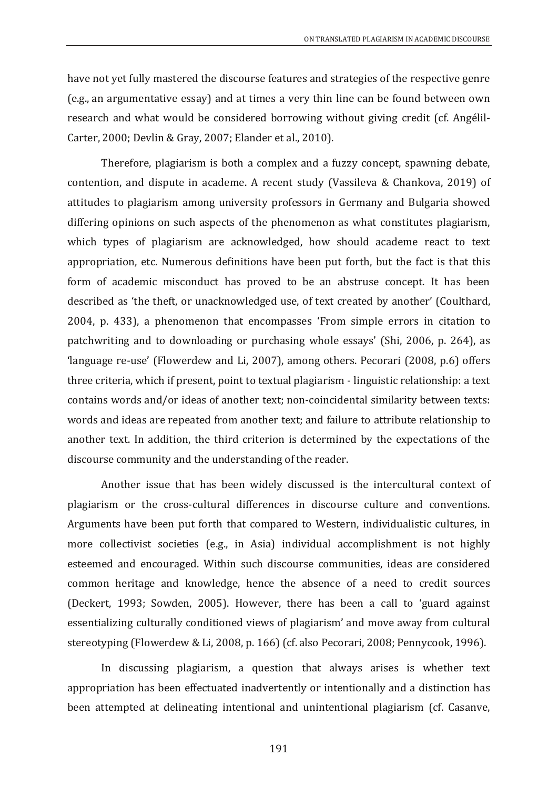have not yet fully mastered the discourse features and strategies of the respective genre (e.g., an argumentative essay) and at times a very thin line can be found between own research and what would be considered borrowing without giving credit (cf. Angélil-Carter, 2000; Devlin & Gray, 2007; Elander et al., 2010).

Therefore, plagiarism is both a complex and a fuzzy concept, spawning debate, contention, and dispute in academe. A recent study (Vassileva & Chankova, 2019) of attitudes to plagiarism among university professors in Germany and Bulgaria showed differing opinions on such aspects of the phenomenon as what constitutes plagiarism, which types of plagiarism are acknowledged, how should academe react to text appropriation, etc. Numerous definitions have been put forth, but the fact is that this form of academic misconduct has proved to be an abstruse concept. It has been described as 'the theft, or unacknowledged use, of text created by another' (Coulthard, 2004, p. 433), a phenomenon that encompasses 'From simple errors in citation to patchwriting and to downloading or purchasing whole essays' (Shi, 2006, p. 264), as 'language re-use' (Flowerdew and Li, 2007), among others. Pecorari (2008, p.6) offers three criteria, which if present, point to textual plagiarism - linguistic relationship: a text contains words and/or ideas of another text; non-coincidental similarity between texts: words and ideas are repeated from another text; and failure to attribute relationship to another text. In addition, the third criterion is determined by the expectations of the discourse community and the understanding of the reader.

Another issue that has been widely discussed is the intercultural context of plagiarism or the cross-cultural differences in discourse culture and conventions. Arguments have been put forth that compared to Western, individualistic cultures, in more collectivist societies (e.g., in Asia) individual accomplishment is not highly esteemed and encouraged. Within such discourse communities, ideas are considered common heritage and knowledge, hence the absence of a need to credit sources (Deckert, 1993; Sowden, 2005). However, there has been a call to 'guard against essentializing culturally conditioned views of plagiarism' and move away from cultural stereotyping (Flowerdew & Li, 2008, p. 166) (cf. also Pecorari, 2008; Pennycook, 1996).

In discussing plagiarism, a question that always arises is whether text appropriation has been effectuated inadvertently or intentionally and a distinction has been attempted at delineating intentional and unintentional plagiarism (cf. Casanve,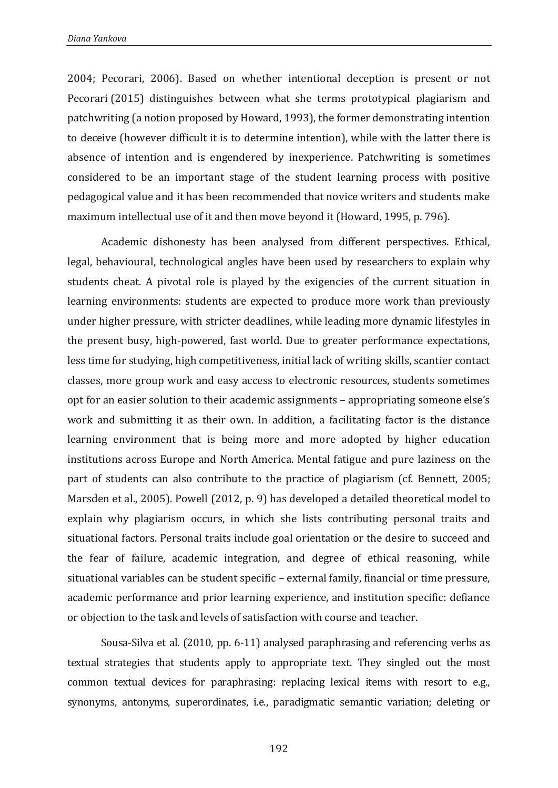2004; Pecorari, 2006). Based on whether intentional deception is present or not Pecorari (2015) distinguishes between what she terms prototypical plagiarism and patchwriting (a notion proposed by Howard, 1993), the former demonstrating intention to deceive (however difficult it is to determine intention), while with the latter there is absence of intention and is engendered by inexperience. Patchwriting is sometimes considered to be an important stage of the student learning process with positive pedagogical value and it has been recommended that novice writers and students make maximum intellectual use of it and then move beyond it (Howard, 1995, p. 796).

Academic dishonesty has been analysed from different perspectives. Ethical, legal, behavioural, technological angles have been used by researchers to explain why students cheat. A pivotal role is played by the exigencies of the current situation in learning environments: students are expected to produce more work than previously under higher pressure, with stricter deadlines, while leading more dynamic lifestyles in the present busy, high-powered, fast world. Due to greater performance expectations, less time for studying, high competitiveness, initial lack of writing skills, scantier contact classes, more group work and easy access to electronic resources, students sometimes opt for an easier solution to their academic assignments – appropriating someone else's work and submitting it as their own. In addition, a facilitating factor is the distance learning environment that is being more and more adopted by higher education institutions across Europe and North America. Mental fatigue and pure laziness on the part of students can also contribute to the practice of plagiarism (cf. Bennett, 2005; Marsden et al., 2005). Powell (2012, p. 9) has developed a detailed theoretical model to explain why plagiarism occurs, in which she lists contributing personal traits and situational factors. Personal traits include goal orientation or the desire to succeed and the fear of failure, academic integration, and degree of ethical reasoning, while situational variables can be student specific – external family, financial or time pressure, academic performance and prior learning experience, and institution specific: defiance or objection to the task and levels of satisfaction with course and teacher.

Sousa-Silva et al. (2010, pp. 6-11) analysed paraphrasing and referencing verbs as textual strategies that students apply to appropriate text. They singled out the most common textual devices for paraphrasing: replacing lexical items with resort to e.g., synonyms, antonyms, superordinates, i.e., paradigmatic semantic variation; deleting or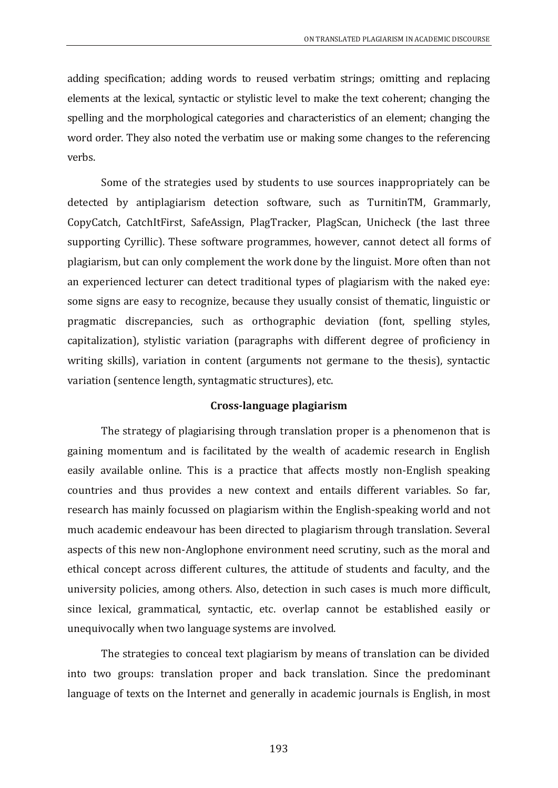adding specification; adding words to reused verbatim strings; omitting and replacing elements at the lexical, syntactic or stylistic level to make the text coherent; changing the spelling and the morphological categories and characteristics of an element; changing the word order. They also noted the verbatim use or making some changes to the referencing verbs.

Some of the strategies used by students to use sources inappropriately can be detected by antiplagiarism detection software, such as TurnitinTM, Grammarly, CopyCatch, CatchItFirst, SafeAssign, PlagTracker, PlagScan, Unicheck (the last three supporting Cyrillic). These software programmes, however, cannot detect all forms of plagiarism, but can only complement the work done by the linguist. More often than not an experienced lecturer can detect traditional types of plagiarism with the naked eye: some signs are easy to recognize, because they usually consist of thematic, linguistic or pragmatic discrepancies, such as orthographic deviation (font, spelling styles, capitalization), stylistic variation (paragraphs with different degree of proficiency in writing skills), variation in content (arguments not germane to the thesis), syntactic variation (sentence length, syntagmatic structures), etc.

## **Cross-language plagiarism**

The strategy of plagiarising through translation proper is a phenomenon that is gaining momentum and is facilitated by the wealth of academic research in English easily available online. This is a practice that affects mostly non-English speaking countries and thus provides a new context and entails different variables. So far, research has mainly focussed on plagiarism within the English-speaking world and not much academic endeavour has been directed to plagiarism through translation. Several aspects of this new non-Anglophone environment need scrutiny, such as the moral and ethical concept across different cultures, the attitude of students and faculty, and the university policies, among others. Also, detection in such cases is much more difficult, since lexical, grammatical, syntactic, etc. overlap cannot be established easily or unequivocally when two language systems are involved.

The strategies to conceal text plagiarism by means of translation can be divided into two groups: translation proper and back translation. Since the predominant language of texts on the Internet and generally in academic journals is English, in most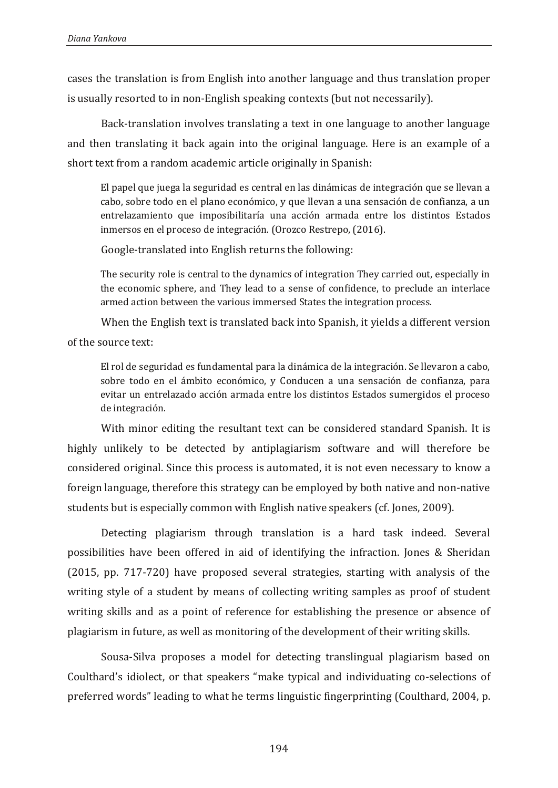cases the translation is from English into another language and thus translation proper is usually resorted to in non-English speaking contexts (but not necessarily).

Back-translation involves translating a text in one language to another language and then translating it back again into the original language. Here is an example of a short text from a random academic article originally in Spanish:

El papel que juega la seguridad es central en las dinámicas de integración que se llevan a cabo, sobre todo en el plano económico, y que llevan a una sensación de confianza, a un entrelazamiento que imposibilitaría una acción armada entre los distintos Estados inmersos en el proceso de integración. (Orozco Restrepo, (2016).

Google-translated into English returns the following:

The security role is central to the dynamics of integration They carried out, especially in the economic sphere, and They lead to a sense of confidence, to preclude an interlace armed action between the various immersed States the integration process.

When the English text is translated back into Spanish, it yields a different version of the source text:

El rol de seguridad es fundamental para la dinámica de la integración. Se llevaron a cabo, sobre todo en el ámbito económico, y Conducen a una sensación de confianza, para evitar un entrelazado acción armada entre los distintos Estados sumergidos el proceso de integración.

With minor editing the resultant text can be considered standard Spanish. It is highly unlikely to be detected by antiplagiarism software and will therefore be considered original. Since this process is automated, it is not even necessary to know a foreign language, therefore this strategy can be employed by both native and non-native students but is especially common with English native speakers (cf. Jones, 2009).

Detecting plagiarism through translation is a hard task indeed. Several possibilities have been offered in aid of identifying the infraction. Jones & Sheridan (2015, pp. 717-720) have proposed several strategies, starting with analysis of the writing style of a student by means of collecting writing samples as proof of student writing skills and as a point of reference for establishing the presence or absence of plagiarism in future, as well as monitoring of the development of their writing skills.

Sousa-Silva proposes a model for detecting translingual plagiarism based on Coulthard's idiolect, or that speakers "make typical and individuating co-selections of preferred words" leading to what he terms linguistic fingerprinting (Coulthard, 2004, p.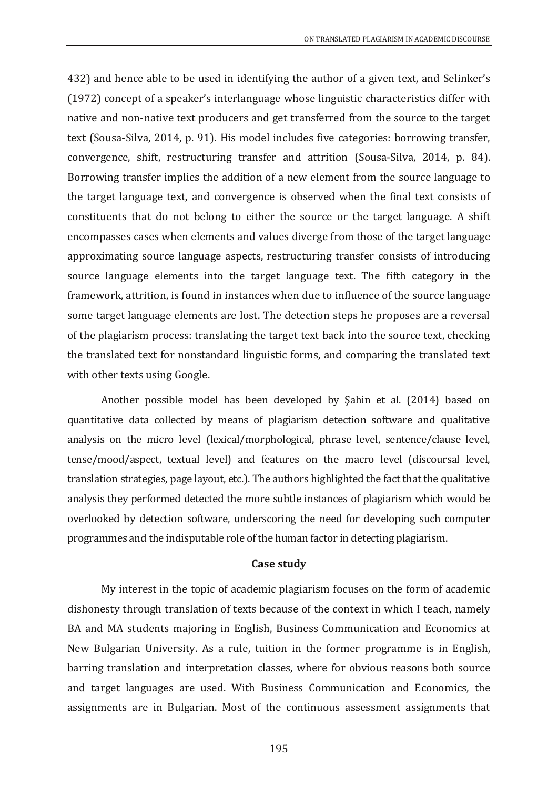432) and hence able to be used in identifying the author of a given text, and Selinker's (1972) concept of a speaker's interlanguage whose linguistic characteristics differ with native and non-native text producers and get transferred from the source to the target text (Sousa-Silva, 2014, p. 91). His model includes five categories: borrowing transfer, convergence, shift, restructuring transfer and attrition (Sousa-Silva, 2014, p. 84). Borrowing transfer implies the addition of a new element from the source language to the target language text, and convergence is observed when the final text consists of constituents that do not belong to either the source or the target language. A shift encompasses cases when elements and values diverge from those of the target language approximating source language aspects, restructuring transfer consists of introducing source language elements into the target language text. The fifth category in the framework, attrition, is found in instances when due to influence of the source language some target language elements are lost. The detection steps he proposes are a reversal of the plagiarism process: translating the target text back into the source text, checking the translated text for nonstandard linguistic forms, and comparing the translated text with other texts using Google.

Another possible model has been developed by Şahin et al. (2014) based on quantitative data collected by means of plagiarism detection software and qualitative analysis on the micro level (lexical/morphological, phrase level, sentence/clause level, tense/mood/aspect, textual level) and features on the macro level (discoursal level, translation strategies, page layout, etc.). The authors highlighted the fact that the qualitative analysis they performed detected the more subtle instances of plagiarism which would be overlooked by detection software, underscoring the need for developing such computer programmes and the indisputable role of the human factor in detecting plagiarism.

#### **Case study**

My interest in the topic of academic plagiarism focuses on the form of academic dishonesty through translation of texts because of the context in which I teach, namely BA and MA students majoring in English, Business Communication and Economics at New Bulgarian University. As a rule, tuition in the former programme is in English, barring translation and interpretation classes, where for obvious reasons both source and target languages are used. With Business Communication and Economics, the assignments are in Bulgarian. Most of the continuous assessment assignments that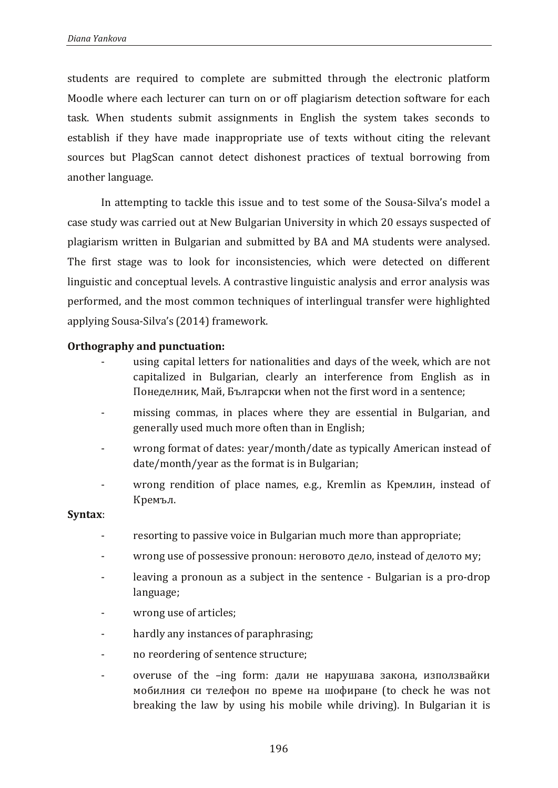students are required to complete are submitted through the electronic platform Moodle where each lecturer can turn on or off plagiarism detection software for each task. When students submit assignments in English the system takes seconds to establish if they have made inappropriate use of texts without citing the relevant sources but PlagScan cannot detect dishonest practices of textual borrowing from another language.

In attempting to tackle this issue and to test some of the Sousa-Silva's model a case study was carried out at New Bulgarian University in which 20 essays suspected of plagiarism written in Bulgarian and submitted by BA and MA students were analysed. The first stage was to look for inconsistencies, which were detected on different linguistic and conceptual levels. A contrastive linguistic analysis and error analysis was performed, and the most common techniques of interlingual transfer were highlighted applying Sousa-Silva's (2014) framework.

# **Orthography and punctuation:**

- using capital letters for nationalities and days of the week, which are not capitalized in Bulgarian, clearly an interference from English as in Понеделник, Май, Български when not the first word in a sentence;
- missing commas, in places where they are essential in Bulgarian, and generally used much more often than in English;
- wrong format of dates: year/month/date as typically American instead of date/month/year as the format is in Bulgarian;
- wrong rendition of place names, e.g., Kremlin as Кремлин, instead of Кремъл.

## **Syntax**:

- resorting to passive voice in Bulgarian much more than appropriate;
- wrong use of possessive pronoun: неговото дело, instead of делото му;
- leaving a pronoun as a subject in the sentence Bulgarian is a pro-drop language;
- wrong use of articles;
- hardly any instances of paraphrasing;
- no reordering of sentence structure;
- $overuse$  of the  $-ing$  form: дали не нарушава закона, използвайки мобилния си телефон по време на шофиране (to check he was not breaking the law by using his mobile while driving). In Bulgarian it is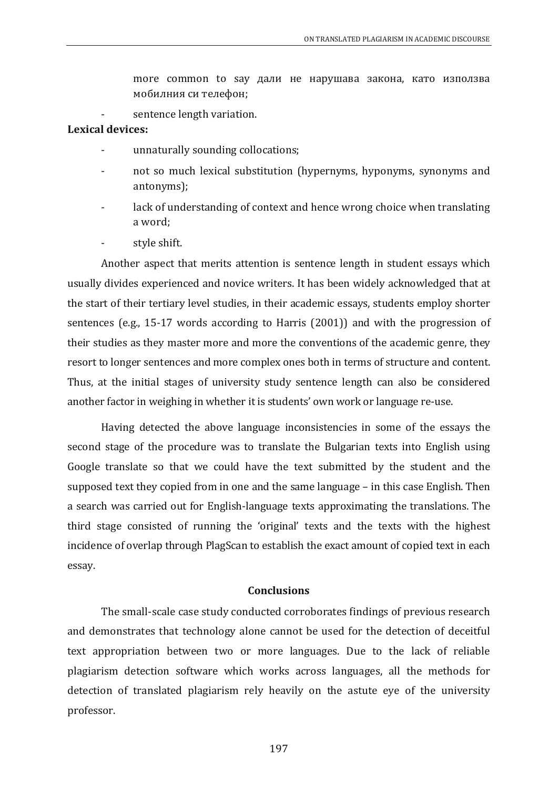more common to say дали не нарушава закона, като използва мобилния си телефон;

sentence length variation.

# **Lexical devices:**

- unnaturally sounding collocations;
- not so much lexical substitution (hypernyms, hyponyms, synonyms and antonyms);
- lack of understanding of context and hence wrong choice when translating a word;
- style shift.

Another aspect that merits attention is sentence length in student essays which usually divides experienced and novice writers. It has been widely acknowledged that at the start of their tertiary level studies, in their academic essays, students employ shorter sentences (e.g., 15-17 words according to Harris (2001)) and with the progression of their studies as they master more and more the conventions of the academic genre, they resort to longer sentences and more complex ones both in terms of structure and content. Thus, at the initial stages of university study sentence length can also be considered another factor in weighing in whether it is students' own work or language re-use.

Having detected the above language inconsistencies in some of the essays the second stage of the procedure was to translate the Bulgarian texts into English using Google translate so that we could have the text submitted by the student and the supposed text they copied from in one and the same language – in this case English. Then a search was carried out for English-language texts approximating the translations. The third stage consisted of running the 'original' texts and the texts with the highest incidence of overlap through PlagScan to establish the exact amount of copied text in each essay.

#### **Conclusions**

The small-scale case study conducted corroborates findings of previous research and demonstrates that technology alone cannot be used for the detection of deceitful text appropriation between two or more languages. Due to the lack of reliable plagiarism detection software which works across languages, all the methods for detection of translated plagiarism rely heavily on the astute eye of the university professor.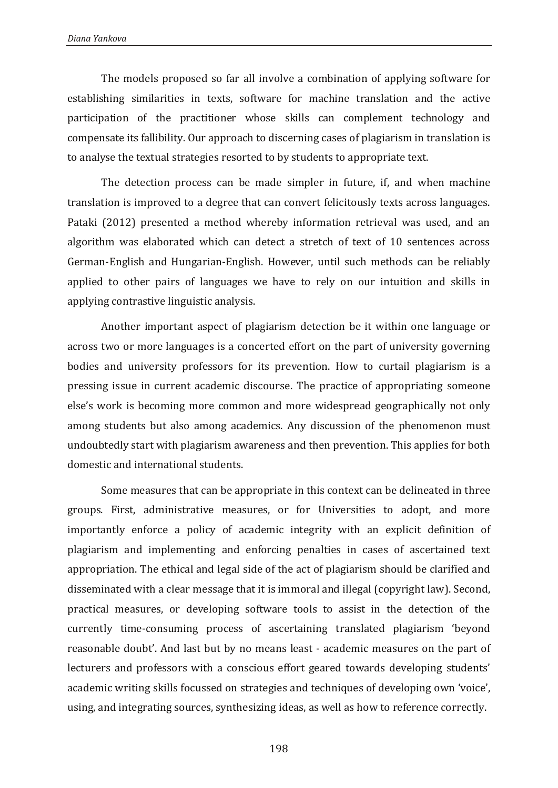The models proposed so far all involve a combination of applying software for establishing similarities in texts, software for machine translation and the active participation of the practitioner whose skills can complement technology and compensate its fallibility. Our approach to discerning cases of plagiarism in translation is to analyse the textual strategies resorted to by students to appropriate text.

The detection process can be made simpler in future, if, and when machine translation is improved to a degree that can convert felicitously texts across languages. Pataki (2012) presented a method whereby information retrieval was used, and an algorithm was elaborated which can detect a stretch of text of 10 sentences across German-English and Hungarian-English. However, until such methods can be reliably applied to other pairs of languages we have to rely on our intuition and skills in applying contrastive linguistic analysis.

Another important aspect of plagiarism detection be it within one language or across two or more languages is a concerted effort on the part of university governing bodies and university professors for its prevention. How to curtail plagiarism is a pressing issue in current academic discourse. The practice of appropriating someone else's work is becoming more common and more widespread geographically not only among students but also among academics. Any discussion of the phenomenon must undoubtedly start with plagiarism awareness and then prevention. This applies for both domestic and international students.

Some measures that can be appropriate in this context can be delineated in three groups. First, administrative measures, or for Universities to adopt, and more importantly enforce a policy of academic integrity with an explicit definition of plagiarism and implementing and enforcing penalties in cases of ascertained text appropriation. The ethical and legal side of the act of plagiarism should be clarified and disseminated with a clear message that it is immoral and illegal (copyright law). Second, practical measures, or developing software tools to assist in the detection of the currently time-consuming process of ascertaining translated plagiarism 'beyond reasonable doubt'. And last but by no means least - academic measures on the part of lecturers and professors with a conscious effort geared towards developing students' academic writing skills focussed on strategies and techniques of developing own 'voice', using, and integrating sources, synthesizing ideas, as well as how to reference correctly.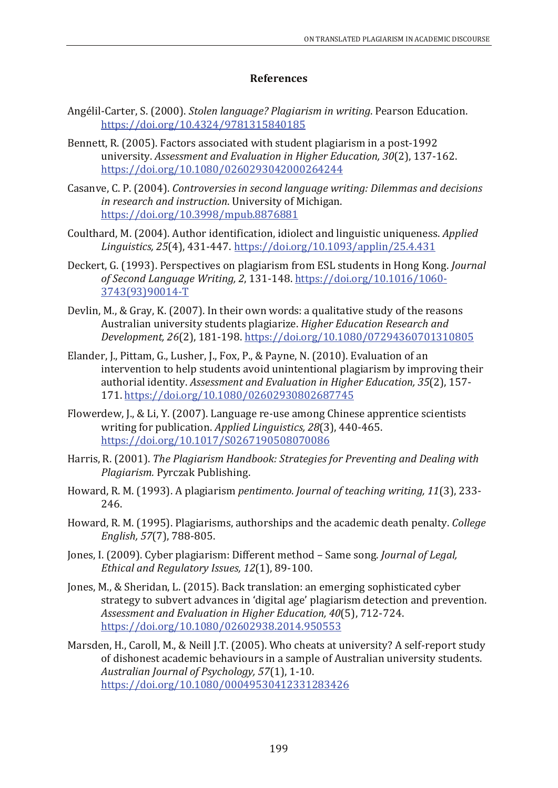## **References**

- Angélil-Carter, S. (2000). *Stolen language? Plagiarism in writing*. Pearson Education. <https://doi.org/10.4324/9781315840185>
- Bennett, R. (2005). Factors associated with student plagiarism in a post-1992 university. *Assessment and Evaluation in Higher Education, 30*(2), 137-162. <https://doi.org/10.1080/0260293042000264244>
- Casanve, C. P. (2004). *Controversies in second language writing: Dilemmas and decisions in research and instruction*. University of Michigan. <https://doi.org/10.3998/mpub.8876881>
- Coulthard, M. (2004). Author identification, idiolect and linguistic uniqueness. *Applied Linguistics, 25*(4), 431-447. <https://doi.org/10.1093/applin/25.4.431>
- Deckert, G. (1993). Perspectives on plagiarism from ESL students in Hong Kong. *Journal of Second Language Writing, 2*, 131-148. [https://doi.org/10.1016/1060-](https://doi.org/10.1016/1060-3743(93)90014-T) [3743\(93\)90014-T](https://doi.org/10.1016/1060-3743(93)90014-T)
- Devlin, M., & Gray, K. (2007). In their own words: a qualitative study of the reasons Australian university students plagiarize. *Higher Education Research and Development, 26*(2), 181-198. <https://doi.org/10.1080/07294360701310805>
- Elander, J., Pittam, G., Lusher, J., Fox, P., & Payne, N. (2010). Evaluation of an intervention to help students avoid unintentional plagiarism by improving their authorial identity. *Assessment and Evaluation in Higher Education, 35*(2), 157- 171. <https://doi.org/10.1080/02602930802687745>
- Flowerdew, J., & Li, Y. (2007). Language re-use among Chinese apprentice scientists writing for publication. *Applied Linguistics, 28*(3), 440-465. <https://doi.org/10.1017/S0267190508070086>
- Harris, R. (2001). *The Plagiarism Handbook: Strategies for Preventing and Dealing with Plagiarism.* Pyrczak Publishing.
- Howard, R. M. (1993). A plagiarism *pentimento*. *Journal of teaching writing, 11*(3), 233- 246.
- Howard, R. M. (1995). Plagiarisms, authorships and the academic death penalty. *College English, 57*(7), 788-805.
- Jones, I. (2009). Cyber plagiarism: Different method Same song. *Journal of Legal, Ethical and Regulatory Issues, 12*(1), 89-100.
- Jones, M., & Sheridan, L. (2015). Back translation: an emerging sophisticated cyber strategy to subvert advances in 'digital age' plagiarism detection and prevention. *Assessment and Evaluation in Higher Education, 40*(5), 712-724. <https://doi.org/10.1080/02602938.2014.950553>
- Marsden, H., Caroll, M., & Neill J.T. (2005). Who cheats at university? A self-report study of dishonest academic behaviours in a sample of Australian university students. *Australian Journal of Psychology, 57*(1), 1-10. <https://doi.org/10.1080/00049530412331283426>